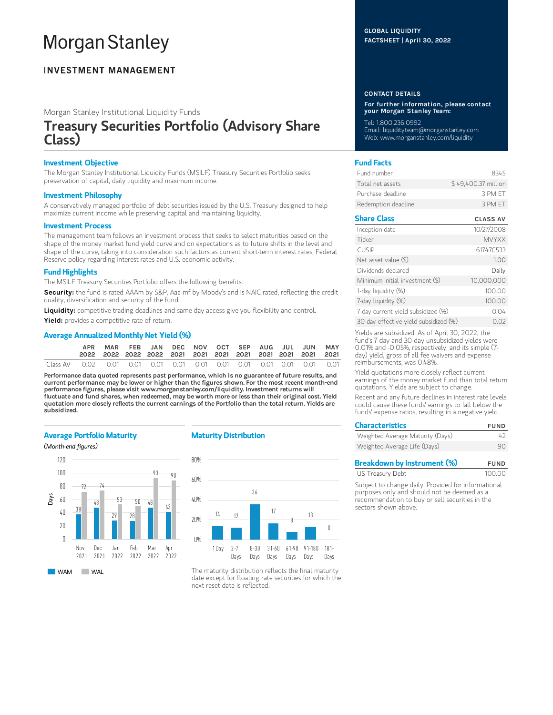# **Morgan Stanley**

### **INVESTMENT MANAGEMENT**

Morgan Stanley Institutional Liquidity Funds

## Treasury Securities Portfolio (Advisory Share Class)

#### Investment Objective

The Morgan Stanley Institutional Liquidity Funds (MSILF) Treasury Securities Portfolio seeks preservation of capital, daily liquidity and maximum income.

#### Investment Philosophy

A conservatively managed portfolio of debt securities issued by the U.S. Treasury designed to help maximize current income while preserving capital and maintaining liquidity.

#### Investment Process

The management team follows an investment process that seeks to select maturities based on the shape of the money market fund yield curve and on expectations as to future shifts in the level and shape of the curve, taking into consideration such factors as current short-term interest rates, Federal Reserve policy regarding interest rates and U.S. economic activity.

#### Fund Highlights

The MSILF Treasury Securities Portfolio offers the following benefits:

Security: the fund is rated AAAm by S&P, Aaa-mf by Moody's and is NAIC-rated, reflecting the credit quality, diversification and security of the fund.

Liquidity: competitive trading deadlines and same-day access give you flexibility and control.

Yield: provides a competitive rate of return.

#### Average Annualized Monthly Net Yield (%)

|  |  |  |  |  | MAR FEB JAN DEC NOV OCT SEP AUG JUL JUN MAY |  |
|--|--|--|--|--|---------------------------------------------|--|
|  |  |  |  |  |                                             |  |

Performance data quoted represents past performance, which is no guarantee of future results, and current performance may be lower or higher than the figures shown. For the most recent month-end performance figures, please visit www.morganstanley.com/liquidity. Investment returns will fluctuate and fund shares, when redeemed, may be worth more or less than their original cost. Yield quotation more closely reflects the current earnings of the Portfolio than the total return. Yields are subsidized.

#### Average Portfolio Maturity





#### Maturity Distribution



The maturity distribution reflects the final maturity date except for floating rate securities for which the next reset date is reflected.

#### GLOBAL LIQUIDITY FACTSHEET | April 30, 2022

#### CONTACT DETAILS

For further information, please contact your Morgan Stanley Team:

Tel: 1.800.236.0992 Email: liquidityteam@morganstanley.com Web: www.morganstanley.com/liquidity

#### Fund Facts

| Fund number         | 8345                |
|---------------------|---------------------|
| Total net assets    | \$49.400.37 million |
| Purchase deadline   | 3 PM FT             |
| Redemption deadline | 3 PM FT             |

#### Share Class CLASS AV

| Inception date                        | 10/27/2008   |
|---------------------------------------|--------------|
| Ticker                                | <b>MVYXX</b> |
| <b>CUSIP</b>                          | 61747C533    |
| Net asset value $(\$)$                | 1.00         |
| Dividends declared                    | Daily        |
| Minimum initial investment (\$)       | 10,000,000   |
| 1-day liquidity (%)                   | 100.00       |
| 7-day liquidity (%)                   | 100.00       |
| 7-day current yield subsidized (%)    | 0.04         |
| 30-day effective yield subsidized (%) | 0.02         |

Yields are subsidized. As of April 30, 2022, the fund's 7 day and 30 day unsubsidized yields were 0.01% and -0.05%, respectively, and its simple (7 day) yield, gross of all fee waivers and expense reimbursements, was 0.48%.

Yield quotations more closely reflect current earnings of the money market fund than total return quotations. Yields are subject to change.

Recent and any future declines in interest rate levels could cause these funds' earnings to fall below the funds' expense ratios, resulting in a negative yield.

| <b>Characteristics</b>           | <b>FUND</b> |  |  |
|----------------------------------|-------------|--|--|
| Weighted Average Maturity (Days) | 47          |  |  |
| Weighted Average Life (Days)     | 90          |  |  |

| <b>Breakdown by Instrument (%)</b> | <b>FUND</b> |
|------------------------------------|-------------|
| US Treasury Debt                   | 100.00      |

Subject to change daily. Provided for informational purposes only and should not be deemed as a recommendation to buy or sell securities in the sectors shown above.